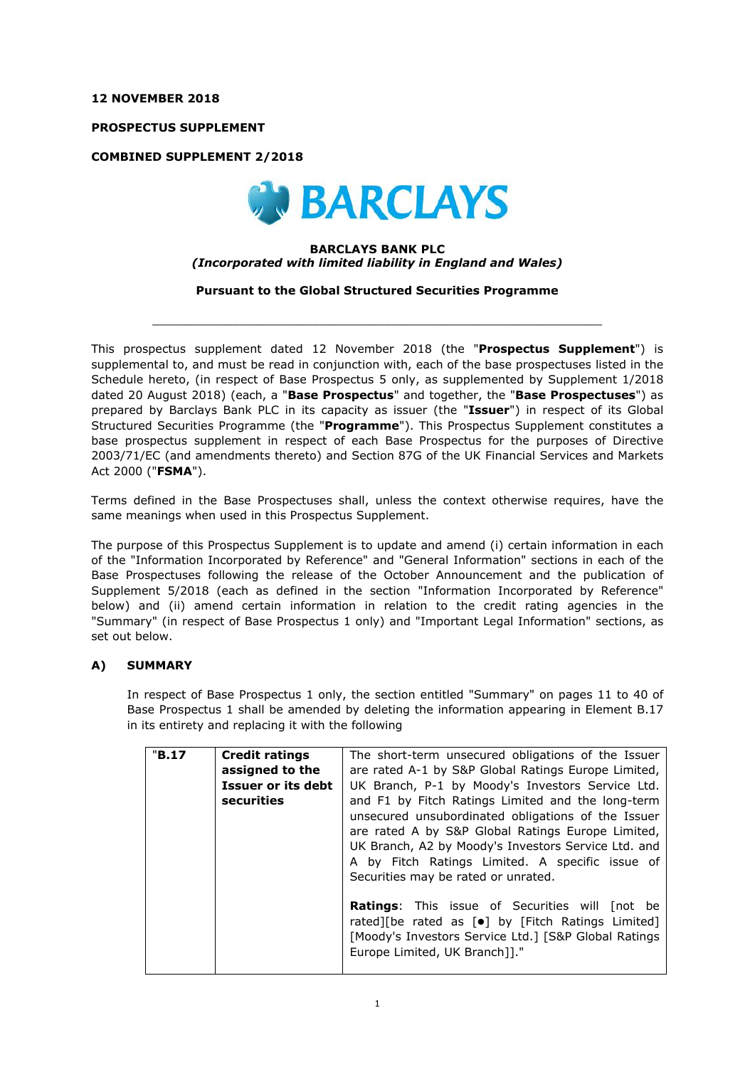#### **12 NOVEMBER 2018**

**PROSPECTUS SUPPLEMENT**

**COMBINED SUPPLEMENT 2/2018**



### **BARCLAYS BANK PLC** *(Incorporated with limited liability in England and Wales)*

**Pursuant to the Global Structured Securities Programme**

 $\_$  ,  $\_$  ,  $\_$  ,  $\_$  ,  $\_$  ,  $\_$  ,  $\_$  ,  $\_$  ,  $\_$  ,  $\_$  ,  $\_$  ,  $\_$  ,  $\_$  ,  $\_$  ,  $\_$  ,  $\_$  ,  $\_$  ,  $\_$  ,  $\_$  ,  $\_$  ,  $\_$  ,  $\_$  ,  $\_$  ,  $\_$  ,  $\_$  ,  $\_$  ,  $\_$  ,  $\_$  ,  $\_$  ,  $\_$  ,  $\_$  ,  $\_$  ,  $\_$  ,  $\_$  ,  $\_$  ,  $\_$  ,  $\_$  ,

This prospectus supplement dated 12 November 2018 (the "**Prospectus Supplement**") is supplemental to, and must be read in conjunction with, each of the base prospectuses listed in the Schedule hereto, (in respect of Base Prospectus 5 only, as supplemented by Supplement 1/2018 dated 20 August 2018) (each, a "**Base Prospectus**" and together, the "**Base Prospectuses**") as prepared by Barclays Bank PLC in its capacity as issuer (the "**Issuer**") in respect of its Global Structured Securities Programme (the "**Programme**"). This Prospectus Supplement constitutes a base prospectus supplement in respect of each Base Prospectus for the purposes of Directive 2003/71/EC (and amendments thereto) and Section 87G of the UK Financial Services and Markets Act 2000 ("**FSMA**").

Terms defined in the Base Prospectuses shall, unless the context otherwise requires, have the same meanings when used in this Prospectus Supplement.

The purpose of this Prospectus Supplement is to update and amend (i) certain information in each of the "Information Incorporated by Reference" and "General Information" sections in each of the Base Prospectuses following the release of the October Announcement and the publication of Supplement 5/2018 (each as defined in the section "Information Incorporated by Reference" below) and (ii) amend certain information in relation to the credit rating agencies in the "Summary" (in respect of Base Prospectus 1 only) and "Important Legal Information" sections, as set out below.

## **A) SUMMARY**

In respect of Base Prospectus 1 only, the section entitled "Summary" on pages 11 to 40 of Base Prospectus 1 shall be amended by deleting the information appearing in Element B.17 in its entirety and replacing it with the following

| "B.17 | <b>Credit ratings</b> | The short-term unsecured obligations of the Issuer                                                                                                                                                                                                       |
|-------|-----------------------|----------------------------------------------------------------------------------------------------------------------------------------------------------------------------------------------------------------------------------------------------------|
|       | assigned to the       | are rated A-1 by S&P Global Ratings Europe Limited,                                                                                                                                                                                                      |
|       | Issuer or its debt    | UK Branch, P-1 by Moody's Investors Service Ltd.                                                                                                                                                                                                         |
|       | securities            | and F1 by Fitch Ratings Limited and the long-term                                                                                                                                                                                                        |
|       |                       | unsecured unsubordinated obligations of the Issuer<br>are rated A by S&P Global Ratings Europe Limited,<br>UK Branch, A2 by Moody's Investors Service Ltd. and<br>A by Fitch Ratings Limited. A specific issue of<br>Securities may be rated or unrated. |
|       |                       | <b>Ratings:</b> This issue of Securities will [not be<br>rated][be rated as [ $\bullet$ ] by [Fitch Ratings Limited]<br>[Moody's Investors Service Ltd.] [S&P Global Ratings<br>Europe Limited, UK Branch]]."                                            |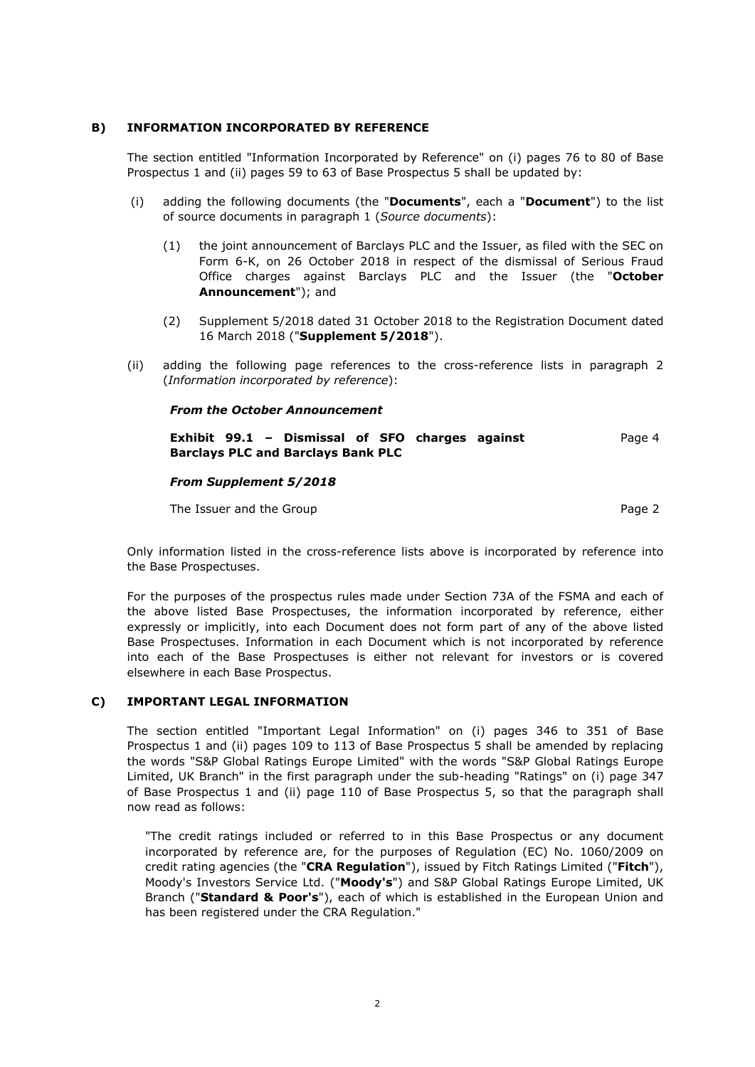## **B) INFORMATION INCORPORATED BY REFERENCE**

The section entitled "Information Incorporated by Reference" on (i) pages 76 to 80 of Base Prospectus 1 and (ii) pages 59 to 63 of Base Prospectus 5 shall be updated by:

- (i) adding the following documents (the "**Documents**", each a "**Document**") to the list of source documents in paragraph 1 (*Source documents*):
	- (1) the joint announcement of Barclays PLC and the Issuer, as filed with the SEC on Form 6-K, on 26 October 2018 in respect of the dismissal of Serious Fraud Office charges against Barclays PLC and the Issuer (the "**October Announcement**"); and
	- (2) Supplement 5/2018 dated 31 October 2018 to the Registration Document dated 16 March 2018 ("**Supplement 5/2018**").
- (ii) adding the following page references to the cross-reference lists in paragraph 2 (*Information incorporated by reference*):

#### *From the October Announcement*

**Exhibit 99.1 – Dismissal of SFO charges against Barclays PLC and Barclays Bank PLC** Page 4

#### *From Supplement 5/2018*

The Issuer and the Group **Page 2** and the Group **Page 2** 

Only information listed in the cross-reference lists above is incorporated by reference into the Base Prospectuses.

For the purposes of the prospectus rules made under Section 73A of the FSMA and each of the above listed Base Prospectuses, the information incorporated by reference, either expressly or implicitly, into each Document does not form part of any of the above listed Base Prospectuses. Information in each Document which is not incorporated by reference into each of the Base Prospectuses is either not relevant for investors or is covered elsewhere in each Base Prospectus.

## **C) IMPORTANT LEGAL INFORMATION**

The section entitled "Important Legal Information" on (i) pages 346 to 351 of Base Prospectus 1 and (ii) pages 109 to 113 of Base Prospectus 5 shall be amended by replacing the words "S&P Global Ratings Europe Limited" with the words "S&P Global Ratings Europe Limited, UK Branch" in the first paragraph under the sub-heading "Ratings" on (i) page 347 of Base Prospectus 1 and (ii) page 110 of Base Prospectus 5, so that the paragraph shall now read as follows:

"The credit ratings included or referred to in this Base Prospectus or any document incorporated by reference are, for the purposes of Regulation (EC) No. 1060/2009 on credit rating agencies (the "**CRA Regulation**"), issued by Fitch Ratings Limited ("**Fitch**"), Moody's Investors Service Ltd. ("**Moody's**") and S&P Global Ratings Europe Limited, UK Branch ("**Standard & Poor's**"), each of which is established in the European Union and has been registered under the CRA Regulation."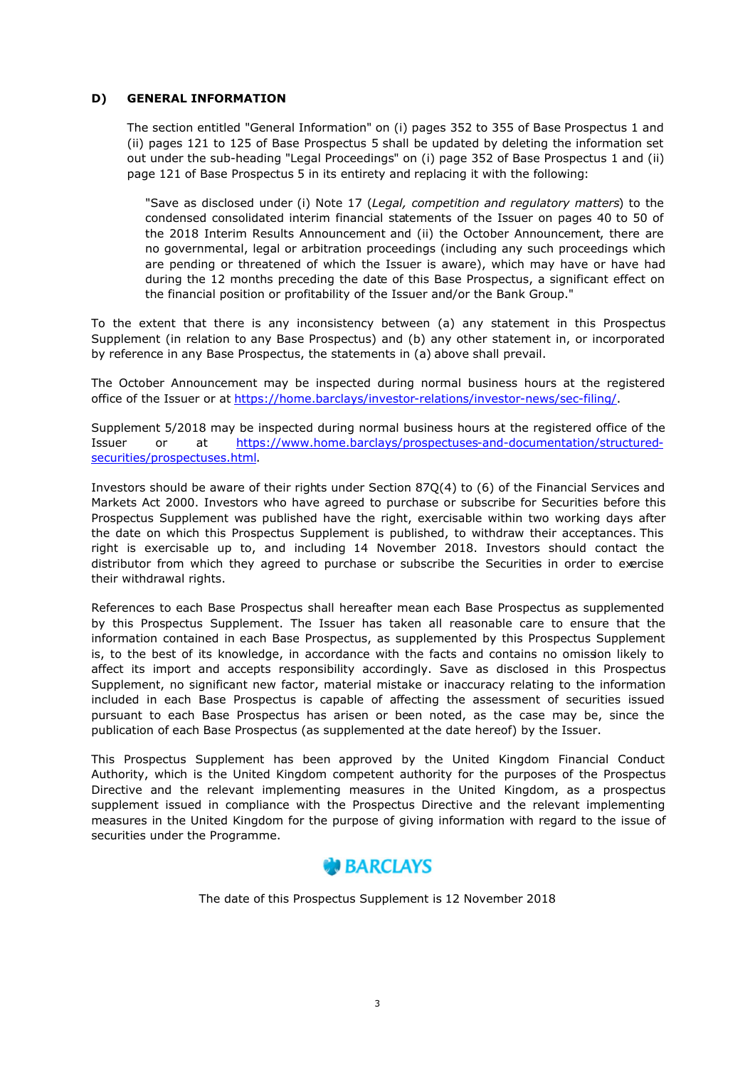## **D) GENERAL INFORMATION**

The section entitled "General Information" on (i) pages 352 to 355 of Base Prospectus 1 and (ii) pages 121 to 125 of Base Prospectus 5 shall be updated by deleting the information set out under the sub-heading "Legal Proceedings" on (i) page 352 of Base Prospectus 1 and (ii) page 121 of Base Prospectus 5 in its entirety and replacing it with the following:

"Save as disclosed under (i) Note 17 (*Legal, competition and regulatory matters*) to the condensed consolidated interim financial statements of the Issuer on pages 40 to 50 of the 2018 Interim Results Announcement and (ii) the October Announcement, there are no governmental, legal or arbitration proceedings (including any such proceedings which are pending or threatened of which the Issuer is aware), which may have or have had during the 12 months preceding the date of this Base Prospectus, a significant effect on the financial position or profitability of the Issuer and/or the Bank Group."

To the extent that there is any inconsistency between (a) any statement in this Prospectus Supplement (in relation to any Base Prospectus) and (b) any other statement in, or incorporated by reference in any Base Prospectus, the statements in (a) above shall prevail.

The October Announcement may be inspected during normal business hours at the registered office of the Issuer or at <https://home.barclays/investor-relations/investor-news/sec-filing/>.

Supplement 5/2018 may be inspected during normal business hours at the registered office of the [Issuer or at https://www.home.barclays/prospectuses-and-documentation/structured](https://www.home.barclays/prospectuses-and-documentation/structured-securities/prospectuses.html)securities/prospectuses.html.

Investors should be aware of their rights under Section 87Q(4) to (6) of the Financial Services and Markets Act 2000. Investors who have agreed to purchase or subscribe for Securities before this Prospectus Supplement was published have the right, exercisable within two working days after the date on which this Prospectus Supplement is published, to withdraw their acceptances. This right is exercisable up to, and including 14 November 2018. Investors should contact the distributor from which they agreed to purchase or subscribe the Securities in order to exercise their withdrawal rights.

References to each Base Prospectus shall hereafter mean each Base Prospectus as supplemented by this Prospectus Supplement. The Issuer has taken all reasonable care to ensure that the information contained in each Base Prospectus, as supplemented by this Prospectus Supplement is, to the best of its knowledge, in accordance with the facts and contains no omission likely to affect its import and accepts responsibility accordingly. Save as disclosed in this Prospectus Supplement, no significant new factor, material mistake or inaccuracy relating to the information included in each Base Prospectus is capable of affecting the assessment of securities issued pursuant to each Base Prospectus has arisen or been noted, as the case may be, since the publication of each Base Prospectus (as supplemented at the date hereof) by the Issuer.

This Prospectus Supplement has been approved by the United Kingdom Financial Conduct Authority, which is the United Kingdom competent authority for the purposes of the Prospectus Directive and the relevant implementing measures in the United Kingdom, as a prospectus supplement issued in compliance with the Prospectus Directive and the relevant implementing measures in the United Kingdom for the purpose of giving information with regard to the issue of securities under the Programme.

# **BARCLAYS**

The date of this Prospectus Supplement is 12 November 2018